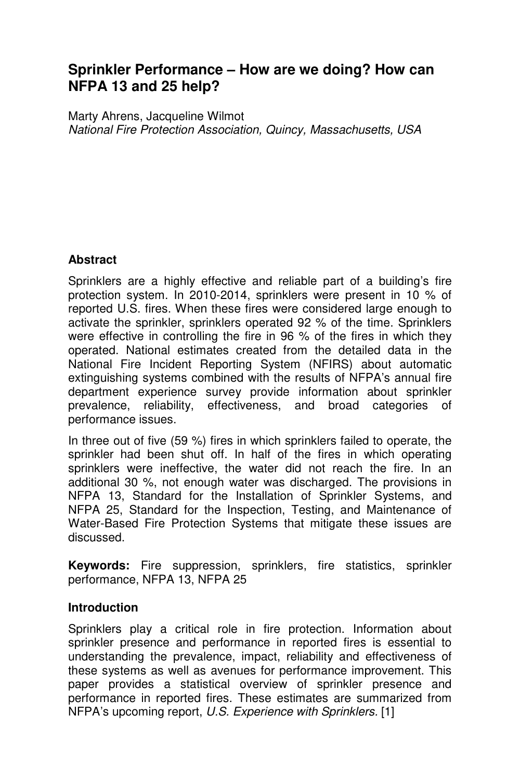# **Sprinkler Performance – How are we doing? How can NFPA 13 and 25 help?**

Marty Ahrens, Jacqueline Wilmot *National Fire Protection Association, Quincy, Massachusetts, USA* 

### **Abstract**

Sprinklers are a highly effective and reliable part of a building's fire protection system. In 2010-2014, sprinklers were present in 10 % of reported U.S. fires. When these fires were considered large enough to activate the sprinkler, sprinklers operated 92 % of the time. Sprinklers were effective in controlling the fire in 96 % of the fires in which they operated. National estimates created from the detailed data in the National Fire Incident Reporting System (NFIRS) about automatic extinguishing systems combined with the results of NFPA's annual fire department experience survey provide information about sprinkler prevalence, reliability, effectiveness, and broad categories of performance issues.

In three out of five (59 %) fires in which sprinklers failed to operate, the sprinkler had been shut off. In half of the fires in which operating sprinklers were ineffective, the water did not reach the fire. In an additional 30 %, not enough water was discharged. The provisions in NFPA 13, Standard for the Installation of Sprinkler Systems, and NFPA 25, Standard for the Inspection, Testing, and Maintenance of Water-Based Fire Protection Systems that mitigate these issues are discussed.

**Keywords:** Fire suppression, sprinklers, fire statistics, sprinkler performance, NFPA 13, NFPA 25

### **Introduction**

Sprinklers play a critical role in fire protection. Information about sprinkler presence and performance in reported fires is essential to understanding the prevalence, impact, reliability and effectiveness of these systems as well as avenues for performance improvement. This paper provides a statistical overview of sprinkler presence and performance in reported fires. These estimates are summarized from NFPA's upcoming report, *U.S. Experience with Sprinklers.* [1]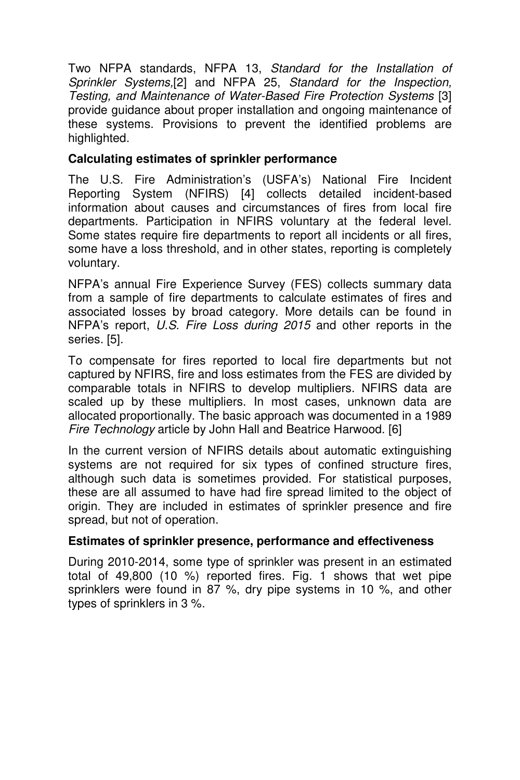Two NFPA standards, NFPA 13, *Standard for the Installation of Sprinkler Systems,*[2] and NFPA 25, *Standard for the Inspection, Testing, and Maintenance of Water-Based Fire Protection Systems* [3] provide guidance about proper installation and ongoing maintenance of these systems. Provisions to prevent the identified problems are highlighted.

### **Calculating estimates of sprinkler performance**

The U.S. Fire Administration's (USFA's) National Fire Incident Reporting System (NFIRS) [4] collects detailed incident-based information about causes and circumstances of fires from local fire departments. Participation in NFIRS voluntary at the federal level. Some states require fire departments to report all incidents or all fires, some have a loss threshold, and in other states, reporting is completely voluntary.

NFPA's annual Fire Experience Survey (FES) collects summary data from a sample of fire departments to calculate estimates of fires and associated losses by broad category. More details can be found in NFPA's report, *U.S. Fire Loss during 2015* and other reports in the series. [5].

To compensate for fires reported to local fire departments but not captured by NFIRS, fire and loss estimates from the FES are divided by comparable totals in NFIRS to develop multipliers. NFIRS data are scaled up by these multipliers. In most cases, unknown data are allocated proportionally. The basic approach was documented in a 1989 *Fire Technology* article by John Hall and Beatrice Harwood. [6]

In the current version of NFIRS details about automatic extinguishing systems are not required for six types of confined structure fires, although such data is sometimes provided. For statistical purposes, these are all assumed to have had fire spread limited to the object of origin. They are included in estimates of sprinkler presence and fire spread, but not of operation.

### **Estimates of sprinkler presence, performance and effectiveness**

During 2010-2014, some type of sprinkler was present in an estimated total of 49,800 (10 %) reported fires. Fig. 1 shows that wet pipe sprinklers were found in 87 %, dry pipe systems in 10 %, and other types of sprinklers in 3 %.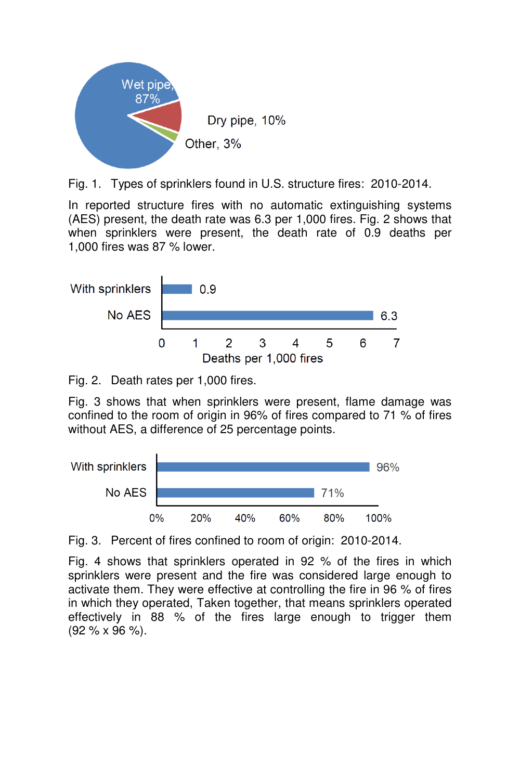

Fig. 1. Types of sprinklers found in U.S. structure fires: 2010-2014.

In reported structure fires with no automatic extinguishing systems (AES) present, the death rate was 6.3 per 1,000 fires. Fig. 2 shows that when sprinklers were present, the death rate of 0.9 deaths per 1,000 fires was 87 % lower.



Fig. 2. Death rates per 1,000 fires.

Fig. 3 shows that when sprinklers were present, flame damage was confined to the room of origin in 96% of fires compared to 71 % of fires without AES, a difference of 25 percentage points.



Fig. 3. Percent of fires confined to room of origin: 2010-2014.

Fig. 4 shows that sprinklers operated in 92 % of the fires in which sprinklers were present and the fire was considered large enough to activate them. They were effective at controlling the fire in 96 % of fires in which they operated, Taken together, that means sprinklers operated effectively in 88 % of the fires large enough to trigger them (92 % x 96 %).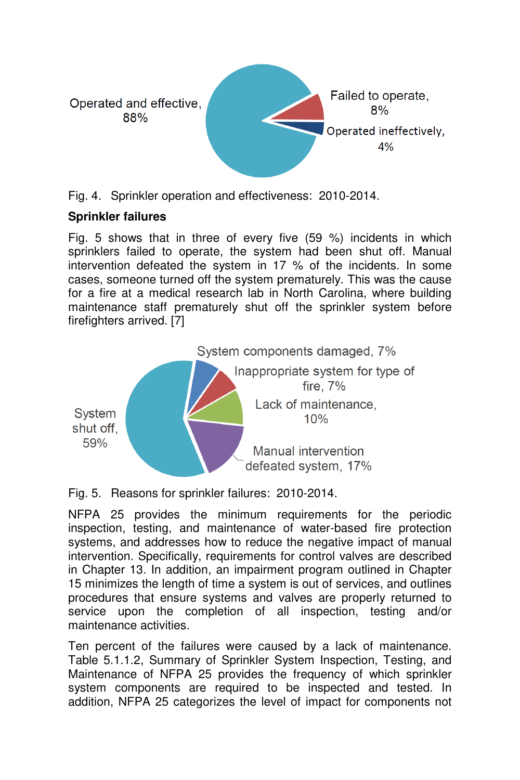

Fig. 4. Sprinkler operation and effectiveness: 2010-2014.

### **Sprinkler failures**

Fig. 5 shows that in three of every five (59 %) incidents in which sprinklers failed to operate, the system had been shut off. Manual intervention defeated the system in 17 % of the incidents. In some cases, someone turned off the system prematurely. This was the cause for a fire at a medical research lab in North Carolina, where building maintenance staff prematurely shut off the sprinkler system before firefighters arrived. [7]



Fig. 5. Reasons for sprinkler failures: 2010-2014.

NFPA 25 provides the minimum requirements for the periodic inspection, testing, and maintenance of water-based fire protection systems, and addresses how to reduce the negative impact of manual intervention. Specifically, requirements for control valves are described in Chapter 13. In addition, an impairment program outlined in Chapter 15 minimizes the length of time a system is out of services, and outlines procedures that ensure systems and valves are properly returned to service upon the completion of all inspection, testing and/or maintenance activities.

Ten percent of the failures were caused by a lack of maintenance. Table 5.1.1.2, Summary of Sprinkler System Inspection, Testing, and Maintenance of NFPA 25 provides the frequency of which sprinkler system components are required to be inspected and tested. In addition, NFPA 25 categorizes the level of impact for components not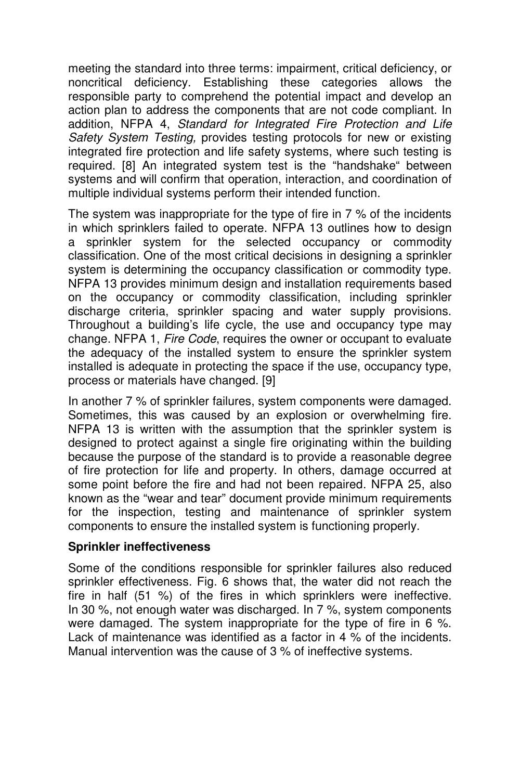meeting the standard into three terms: impairment, critical deficiency, or noncritical deficiency. Establishing these categories allows the responsible party to comprehend the potential impact and develop an action plan to address the components that are not code compliant. In addition, NFPA 4, *Standard for Integrated Fire Protection and Life Safety System Testing,* provides testing protocols for new or existing integrated fire protection and life safety systems, where such testing is required. [8] An integrated system test is the "handshake" between systems and will confirm that operation, interaction, and coordination of multiple individual systems perform their intended function.

The system was inappropriate for the type of fire in 7 % of the incidents in which sprinklers failed to operate. NFPA 13 outlines how to design a sprinkler system for the selected occupancy or commodity classification. One of the most critical decisions in designing a sprinkler system is determining the occupancy classification or commodity type. NFPA 13 provides minimum design and installation requirements based on the occupancy or commodity classification, including sprinkler discharge criteria, sprinkler spacing and water supply provisions. Throughout a building's life cycle, the use and occupancy type may change. NFPA 1, *Fire Code*, requires the owner or occupant to evaluate the adequacy of the installed system to ensure the sprinkler system installed is adequate in protecting the space if the use, occupancy type, process or materials have changed. [9]

In another 7 % of sprinkler failures, system components were damaged. Sometimes, this was caused by an explosion or overwhelming fire. NFPA 13 is written with the assumption that the sprinkler system is designed to protect against a single fire originating within the building because the purpose of the standard is to provide a reasonable degree of fire protection for life and property. In others, damage occurred at some point before the fire and had not been repaired. NFPA 25, also known as the "wear and tear" document provide minimum requirements for the inspection, testing and maintenance of sprinkler system components to ensure the installed system is functioning properly.

### **Sprinkler ineffectiveness**

Some of the conditions responsible for sprinkler failures also reduced sprinkler effectiveness. Fig. 6 shows that, the water did not reach the fire in half (51 %) of the fires in which sprinklers were ineffective. In 30 %, not enough water was discharged. In 7 %, system components were damaged. The system inappropriate for the type of fire in 6 %. Lack of maintenance was identified as a factor in 4 % of the incidents. Manual intervention was the cause of 3 % of ineffective systems.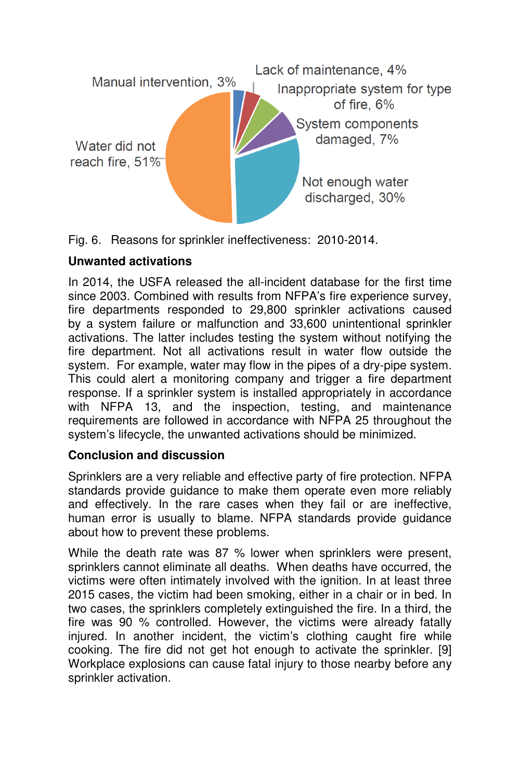



## **Unwanted activations**

In 2014, the USFA released the all-incident database for the first time since 2003. Combined with results from NFPA's fire experience survey, fire departments responded to 29,800 sprinkler activations caused by a system failure or malfunction and 33,600 unintentional sprinkler activations. The latter includes testing the system without notifying the fire department. Not all activations result in water flow outside the system. For example, water may flow in the pipes of a dry-pipe system. This could alert a monitoring company and trigger a fire department response. If a sprinkler system is installed appropriately in accordance with NFPA 13, and the inspection, testing, and maintenance requirements are followed in accordance with NFPA 25 throughout the system's lifecycle, the unwanted activations should be minimized.

# **Conclusion and discussion**

Sprinklers are a very reliable and effective party of fire protection. NFPA standards provide quidance to make them operate even more reliably and effectively. In the rare cases when they fail or are ineffective, human error is usually to blame. NFPA standards provide guidance about how to prevent these problems.

While the death rate was 87 % lower when sprinklers were present. sprinklers cannot eliminate all deaths. When deaths have occurred, the victims were often intimately involved with the ignition. In at least three 2015 cases, the victim had been smoking, either in a chair or in bed. In two cases, the sprinklers completely extinguished the fire. In a third, the fire was 90 % controlled. However, the victims were already fatally injured. In another incident, the victim's clothing caught fire while cooking. The fire did not get hot enough to activate the sprinkler. [9] Workplace explosions can cause fatal injury to those nearby before any sprinkler activation.